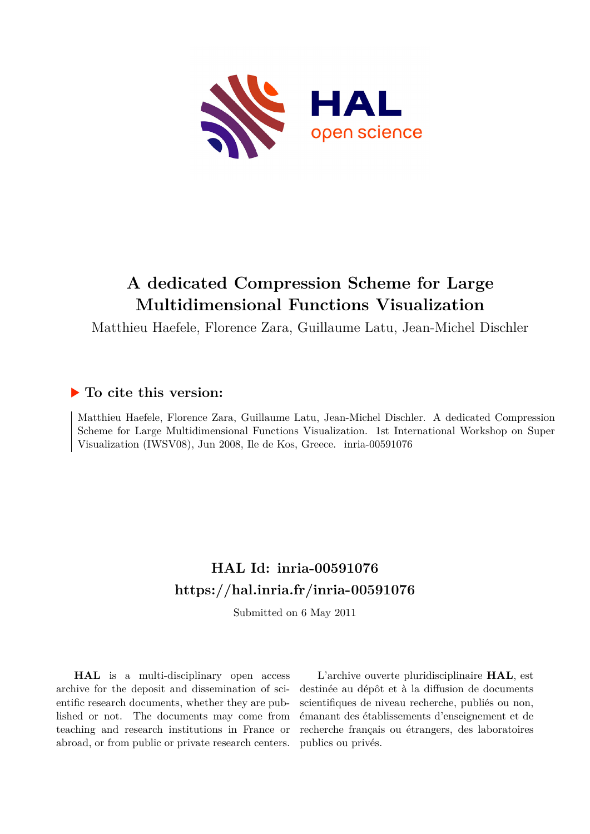

# **A dedicated Compression Scheme for Large Multidimensional Functions Visualization**

Matthieu Haefele, Florence Zara, Guillaume Latu, Jean-Michel Dischler

## **To cite this version:**

Matthieu Haefele, Florence Zara, Guillaume Latu, Jean-Michel Dischler. A dedicated Compression Scheme for Large Multidimensional Functions Visualization. 1st International Workshop on Super Visualization (IWSV08), Jun 2008, Ile de Kos, Greece. inria-00591076

## **HAL Id: inria-00591076 <https://hal.inria.fr/inria-00591076>**

Submitted on 6 May 2011

**HAL** is a multi-disciplinary open access archive for the deposit and dissemination of scientific research documents, whether they are published or not. The documents may come from teaching and research institutions in France or abroad, or from public or private research centers.

L'archive ouverte pluridisciplinaire **HAL**, est destinée au dépôt et à la diffusion de documents scientifiques de niveau recherche, publiés ou non, émanant des établissements d'enseignement et de recherche français ou étrangers, des laboratoires publics ou privés.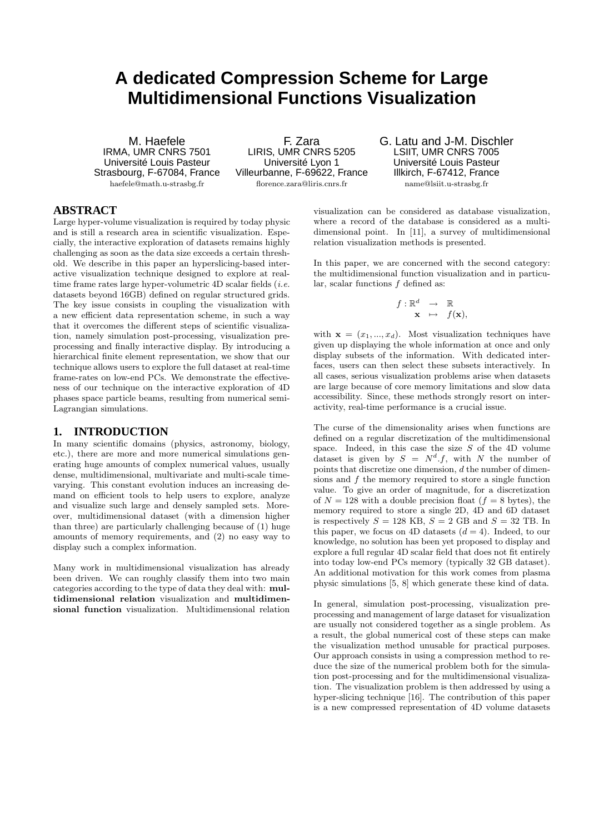## **A dedicated Compression Scheme for Large Multidimensional Functions Visualization**

M. Haefele IRMA, UMR CNRS 7501 Université Louis Pasteur Strasbourg, F-67084, France haefele@math.u-strasbg.fr

F. Zara LIRIS, UMR CNRS 5205 Université Lyon 1 Villeurbanne, F-69622, France florence.zara@liris.cnrs.fr

G. Latu and J-M. Dischler LSIIT, UMR CNRS 7005 Université Louis Pasteur Illkirch, F-67412, France name@lsiit.u-strasbg.fr

## **ABSTRACT**

Large hyper-volume visualization is required by today physic and is still a research area in scientific visualization. Especially, the interactive exploration of datasets remains highly challenging as soon as the data size exceeds a certain threshold. We describe in this paper an hyperslicing-based interactive visualization technique designed to explore at realtime frame rates large hyper-volumetric 4D scalar fields (*i.e.* datasets beyond 16GB) defined on regular structured grids. The key issue consists in coupling the visualization with a new efficient data representation scheme, in such a way that it overcomes the different steps of scientific visualization, namely simulation post-processing, visualization preprocessing and finally interactive display. By introducing a hierarchical finite element representation, we show that our technique allows users to explore the full dataset at real-time frame-rates on low-end PCs. We demonstrate the effectiveness of our technique on the interactive exploration of 4D phases space particle beams, resulting from numerical semi-Lagrangian simulations.

## **1. INTRODUCTION**

In many scientific domains (physics, astronomy, biology, etc.), there are more and more numerical simulations generating huge amounts of complex numerical values, usually dense, multidimensional, multivariate and multi-scale timevarying. This constant evolution induces an increasing demand on efficient tools to help users to explore, analyze and visualize such large and densely sampled sets. Moreover, multidimensional dataset (with a dimension higher than three) are particularly challenging because of (1) huge amounts of memory requirements, and (2) no easy way to display such a complex information.

Many work in multidimensional visualization has already been driven. We can roughly classify them into two main categories according to the type of data they deal with: multidimensional relation visualization and multidimensional function visualization. Multidimensional relation

visualization can be considered as database visualization, where a record of the database is considered as a multidimensional point. In [11], a survey of multidimensional relation visualization methods is presented.

In this paper, we are concerned with the second category: the multidimensional function visualization and in particular, scalar functions f defined as:

$$
\begin{array}{rcl} f: \mathbb{R}^d & \to & \mathbb{R} \\ & \mathbf{x} & \mapsto & f(\mathbf{x}), \end{array}
$$

with  $\mathbf{x} = (x_1, ..., x_d)$ . Most visualization techniques have given up displaying the whole information at once and only display subsets of the information. With dedicated interfaces, users can then select these subsets interactively. In all cases, serious visualization problems arise when datasets are large because of core memory limitations and slow data accessibility. Since, these methods strongly resort on interactivity, real-time performance is a crucial issue.

The curse of the dimensionality arises when functions are defined on a regular discretization of the multidimensional space. Indeed, in this case the size  $S$  of the 4D volume dataset is given by  $S = N<sup>d</sup> f$ , with N the number of points that discretize one dimension, d the number of dimensions and  $f$  the memory required to store a single function value. To give an order of magnitude, for a discretization of  $N = 128$  with a double precision float  $(f = 8 \text{ bytes})$ , the memory required to store a single 2D, 4D and 6D dataset is respectively  $S = 128$  KB,  $S = 2$  GB and  $S = 32$  TB. In this paper, we focus on 4D datasets  $(d = 4)$ . Indeed, to our knowledge, no solution has been yet proposed to display and explore a full regular 4D scalar field that does not fit entirely into today low-end PCs memory (typically 32 GB dataset). An additional motivation for this work comes from plasma physic simulations [5, 8] which generate these kind of data.

In general, simulation post-processing, visualization preprocessing and management of large dataset for visualization are usually not considered together as a single problem. As a result, the global numerical cost of these steps can make the visualization method unusable for practical purposes. Our approach consists in using a compression method to reduce the size of the numerical problem both for the simulation post-processing and for the multidimensional visualization. The visualization problem is then addressed by using a hyper-slicing technique [16]. The contribution of this paper is a new compressed representation of 4D volume datasets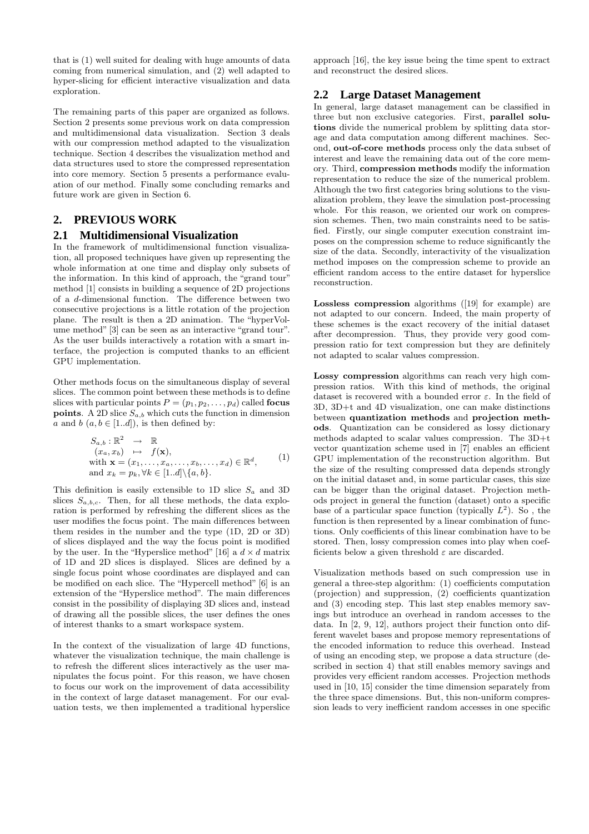that is (1) well suited for dealing with huge amounts of data coming from numerical simulation, and (2) well adapted to hyper-slicing for efficient interactive visualization and data exploration.

The remaining parts of this paper are organized as follows. Section 2 presents some previous work on data compression and multidimensional data visualization. Section 3 deals with our compression method adapted to the visualization technique. Section 4 describes the visualization method and data structures used to store the compressed representation into core memory. Section 5 presents a performance evaluation of our method. Finally some concluding remarks and future work are given in Section 6.

## **2. PREVIOUS WORK**

#### **2.1 Multidimensional Visualization**

In the framework of multidimensional function visualization, all proposed techniques have given up representing the whole information at one time and display only subsets of the information. In this kind of approach, the "grand tour" method [1] consists in building a sequence of 2D projections of a d-dimensional function. The difference between two consecutive projections is a little rotation of the projection plane. The result is then a 2D animation. The "hyperVolume method" [3] can be seen as an interactive "grand tour". As the user builds interactively a rotation with a smart interface, the projection is computed thanks to an efficient GPU implementation.

Other methods focus on the simultaneous display of several slices. The common point between these methods is to define slices with particular points  $P = (p_1, p_2, \ldots, p_d)$  called **focus points**. A 2D slice  $S_{a,b}$  which cuts the function in dimension a and b  $(a, b \in [1..d]),$  is then defined by:

$$
S_{a,b}: \mathbb{R}^2 \to \mathbb{R}
$$
  
\n
$$
(x_a, x_b) \mapsto f(\mathbf{x}),
$$
  
\nwith  $\mathbf{x} = (x_1, \dots, x_a, \dots, x_b, \dots, x_d) \in \mathbb{R}^d,$   
\nand  $x_k = p_k, \forall k \in [1..d] \setminus \{a, b\}.$  (1)

This definition is easily extensible to 1D slice  $S_a$  and 3D slices  $S_{a,b,c}$ . Then, for all these methods, the data exploration is performed by refreshing the different slices as the user modifies the focus point. The main differences between them resides in the number and the type (1D, 2D or 3D) of slices displayed and the way the focus point is modified by the user. In the "Hyperslice method" [16] a  $d \times d$  matrix of 1D and 2D slices is displayed. Slices are defined by a single focus point whose coordinates are displayed and can be modified on each slice. The "Hypercell method" [6] is an extension of the "Hyperslice method". The main differences consist in the possibility of displaying 3D slices and, instead of drawing all the possible slices, the user defines the ones of interest thanks to a smart workspace system.

In the context of the visualization of large 4D functions, whatever the visualization technique, the main challenge is to refresh the different slices interactively as the user manipulates the focus point. For this reason, we have chosen to focus our work on the improvement of data accessibility in the context of large dataset management. For our evaluation tests, we then implemented a traditional hyperslice

approach [16], the key issue being the time spent to extract and reconstruct the desired slices.

### **2.2 Large Dataset Management**

In general, large dataset management can be classified in three but non exclusive categories. First, parallel solutions divide the numerical problem by splitting data storage and data computation among different machines. Second, out-of-core methods process only the data subset of interest and leave the remaining data out of the core memory. Third, compression methods modify the information representation to reduce the size of the numerical problem. Although the two first categories bring solutions to the visualization problem, they leave the simulation post-processing whole. For this reason, we oriented our work on compression schemes. Then, two main constraints need to be satisfied. Firstly, our single computer execution constraint imposes on the compression scheme to reduce significantly the size of the data. Secondly, interactivity of the visualization method imposes on the compression scheme to provide an efficient random access to the entire dataset for hyperslice reconstruction.

Lossless compression algorithms ([19] for example) are not adapted to our concern. Indeed, the main property of these schemes is the exact recovery of the initial dataset after decompression. Thus, they provide very good compression ratio for text compression but they are definitely not adapted to scalar values compression.

Lossy compression algorithms can reach very high compression ratios. With this kind of methods, the original dataset is recovered with a bounded error  $\varepsilon$ . In the field of 3D, 3D+t and 4D visualization, one can make distinctions between quantization methods and projection methods. Quantization can be considered as lossy dictionary methods adapted to scalar values compression. The 3D+t vector quantization scheme used in [7] enables an efficient GPU implementation of the reconstruction algorithm. But the size of the resulting compressed data depends strongly on the initial dataset and, in some particular cases, this size can be bigger than the original dataset. Projection methods project in general the function (dataset) onto a specific base of a particular space function (typically  $L^2$ ). So, the function is then represented by a linear combination of functions. Only coefficients of this linear combination have to be stored. Then, lossy compression comes into play when coefficients below a given threshold  $\varepsilon$  are discarded.

Visualization methods based on such compression use in general a three-step algorithm: (1) coefficients computation (projection) and suppression, (2) coefficients quantization and (3) encoding step. This last step enables memory savings but introduce an overhead in random accesses to the data. In [2, 9, 12], authors project their function onto different wavelet bases and propose memory representations of the encoded information to reduce this overhead. Instead of using an encoding step, we propose a data structure (described in section 4) that still enables memory savings and provides very efficient random accesses. Projection methods used in [10, 15] consider the time dimension separately from the three space dimensions. But, this non-uniform compression leads to very inefficient random accesses in one specific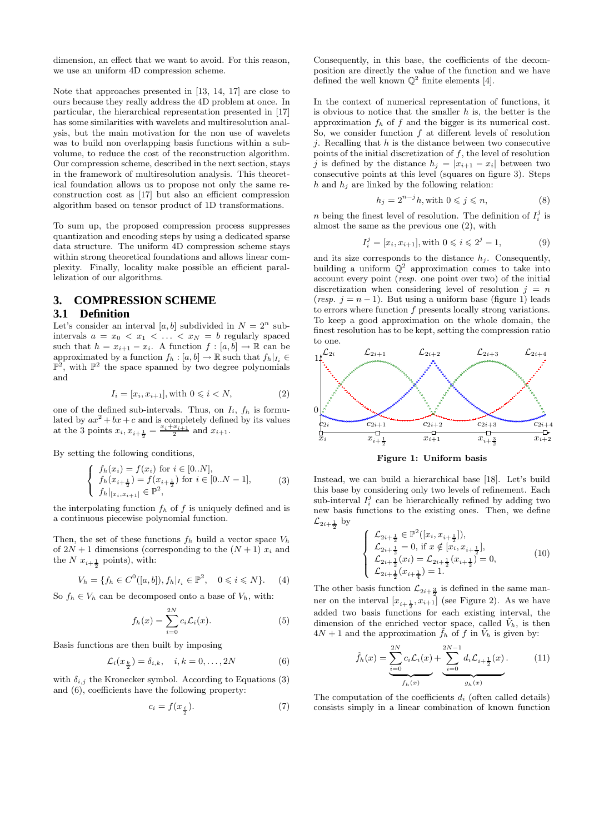dimension, an effect that we want to avoid. For this reason, we use an uniform 4D compression scheme.

Note that approaches presented in [13, 14, 17] are close to ours because they really address the 4D problem at once. In particular, the hierarchical representation presented in [17] has some similarities with wavelets and multiresolution analysis, but the main motivation for the non use of wavelets was to build non overlapping basis functions within a subvolume, to reduce the cost of the reconstruction algorithm. Our compression scheme, described in the next section, stays in the framework of multiresolution analysis. This theoretical foundation allows us to propose not only the same reconstruction cost as [17] but also an efficient compression algorithm based on tensor product of 1D transformations.

To sum up, the proposed compression process suppresses quantization and encoding steps by using a dedicated sparse data structure. The uniform 4D compression scheme stays within strong theoretical foundations and allows linear complexity. Finally, locality make possible an efficient parallelization of our algorithms.

## **3. COMPRESSION SCHEME**

#### **3.1 Definition**

Let's consider an interval  $[a, b]$  subdivided in  $N = 2^n$  subintervals  $a = x_0 < x_1 < \ldots < x_N = b$  regularly spaced such that  $h = x_{i+1} - x_i$ . A function  $f : [a, b] \to \mathbb{R}$  can be approximated by a function  $f_h : [a, b] \to \mathbb{R}$  such that  $f_h|_{I_i} \in$  $\mathbb{P}^2$ , with  $\mathbb{P}^2$  the space spanned by two degree polynomials and

$$
I_i = [x_i, x_{i+1}], \text{with } 0 \leq i < N,\tag{2}
$$

one of the defined sub-intervals. Thus, on  $I_i$ ,  $f_h$  is formulated by  $ax^2 + bx + c$  and is completely defined by its values at the 3 points  $x_i, x_{i+\frac{1}{2}} = \frac{x_i + x_{i+1}}{2}$  and  $x_{i+1}$ .

By setting the following conditions,

$$
\begin{cases}\nf_h(x_i) = f(x_i) \text{ for } i \in [0..N], \\
f_h(x_{i+\frac{1}{2}}) = f(x_{i+\frac{1}{2}}) \text{ for } i \in [0..N-1], \\
f_h|_{[x_i, x_{i+1}]} \in \mathbb{P}^2,\n\end{cases}
$$
\n(3)

the interpolating function  $f_h$  of f is uniquely defined and is a continuous piecewise polynomial function.

Then, the set of these functions  $f_h$  build a vector space  $V_h$ of  $2N + 1$  dimensions (corresponding to the  $(N + 1)$   $x_i$  and the  $N x_{i+\frac{1}{2}}$  points), with:

$$
V_h = \{ f_h \in C^0([a, b]), f_h |_{I_i} \in \mathbb{P}^2, \quad 0 \leq i \leq N \}. \tag{4}
$$

So  $f_h \in V_h$  can be decomposed onto a base of  $V_h$ , with:

$$
f_h(x) = \sum_{i=0}^{2N} c_i \mathcal{L}_i(x).
$$
 (5)

Basis functions are then built by imposing

$$
\mathcal{L}_i(x_{\frac{k}{2}}) = \delta_{i,k}, \quad i, k = 0, \dots, 2N \tag{6}
$$

with  $\delta_{i,j}$  the Kronecker symbol. According to Equations (3) and (6), coefficients have the following property:

$$
c_i = f(x_{\frac{i}{2}}). \tag{7}
$$

Consequently, in this base, the coefficients of the decomposition are directly the value of the function and we have defined the well known  $\mathbb{Q}^2$  finite elements [4].

In the context of numerical representation of functions, it is obvious to notice that the smaller  $h$  is, the better is the approximation  $f_h$  of f and the bigger is its numerical cost. So, we consider function  $f$  at different levels of resolution j. Recalling that  $h$  is the distance between two consecutive points of the initial discretization of  $f$ , the level of resolution j is defined by the distance  $h_j = |x_{i+1} - x_i|$  between two consecutive points at this level (squares on figure 3). Steps  $h$  and  $h_j$  are linked by the following relation:

$$
h_j = 2^{n-j}h, \text{with } 0 \le j \le n,\tag{8}
$$

 $n$  being the finest level of resolution. The definition of  $I_i^j$  is almost the same as the previous one (2), with

$$
I_i^j = [x_i, x_{i+1}], \text{with } 0 \le i \le 2^j - 1,
$$
 (9)

and its size corresponds to the distance  $h_i$ . Consequently, building a uniform  $\mathbb{Q}^2$  approximation comes to take into account every point (resp. one point over two) of the initial discretization when considering level of resolution  $j = n$ (resp.  $j = n - 1$ ). But using a uniform base (figure 1) leads to errors where function  $f$  presents locally strong variations. To keep a good approximation on the whole domain, the finest resolution has to be kept, setting the compression ratio to one.



Figure 1: Uniform basis

Instead, we can build a hierarchical base [18]. Let's build this base by considering only two levels of refinement. Each sub-interval  $I_i^j$  can be hierarchically refined by adding two new basis functions to the existing ones. Then, we define  $\mathcal{L}_{2i+\frac{1}{2}}$  by

$$
\begin{cases}\n\mathcal{L}_{2i+\frac{1}{2}} \in \mathbb{P}^{2}([x_{i}, x_{i+\frac{1}{2}}]),\\ \n\mathcal{L}_{2i+\frac{1}{2}} = 0, \text{ if } x \notin [x_{i}, x_{i+\frac{1}{2}}],\\ \n\mathcal{L}_{2i+\frac{1}{2}}(x_{i}) = \mathcal{L}_{2i+\frac{1}{2}}(x_{i+\frac{1}{2}}) = 0,\\ \n\mathcal{L}_{2i+\frac{1}{2}}(x_{i+\frac{1}{4}}) = 1.\n\end{cases}
$$
\n(10)

The other basis function  $\mathcal{L}_{2i+\frac{3}{2}}$  is defined in the same manner on the interval  $[x_{i+\frac{1}{2}}, x_{i+1}]$  (see Figure 2). As we have added two basis functions for each existing interval, the dimension of the enriched vector space, called  $\tilde{V}_h$ , is then  $4N + 1$  and the approximation  $\tilde{f}_h$  of f in  $\tilde{V}_h$  is given by:

$$
\tilde{f}_h(x) = \underbrace{\sum_{i=0}^{2N} c_i \mathcal{L}_i(x)}_{f_h(x)} + \underbrace{\sum_{i=0}^{2N-1} d_i \mathcal{L}_{i+\frac{1}{2}}(x)}_{g_h(x)}.
$$
\n(11)

The computation of the coefficients  $d_i$  (often called details) consists simply in a linear combination of known function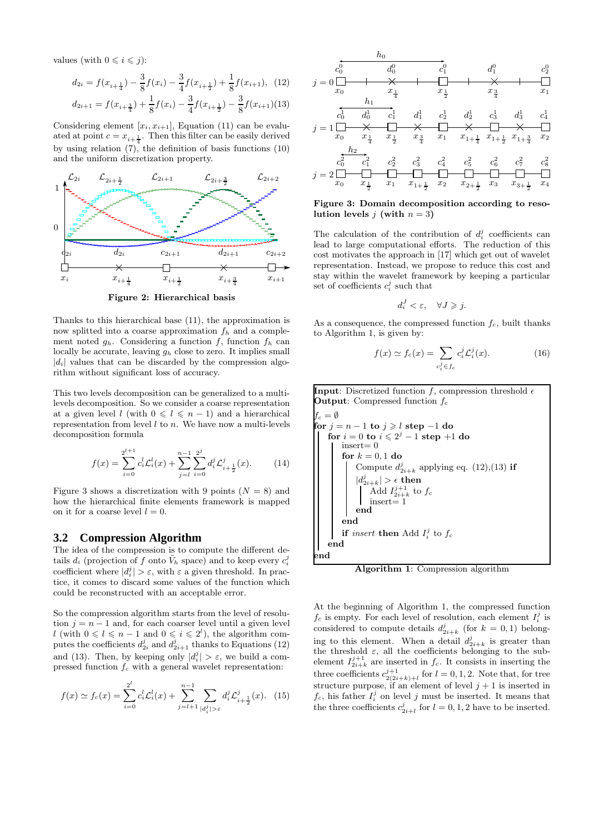values (with  $0 \leq i \leq j$ ):

$$
d_{2i} = f(x_{i+\frac{1}{4}}) - \frac{3}{8}f(x_i) - \frac{3}{4}f(x_{i+\frac{1}{2}}) + \frac{1}{8}f(x_{i+1}), \quad (12)
$$

$$
d_{2i+1} = f(x_{i+\frac{3}{4}}) + \frac{1}{8}f(x_i) - \frac{3}{4}f(x_{i+\frac{1}{2}}) - \frac{3}{8}f(x_{i+1})(13)
$$

Considering element  $[x_i, x_{i+1}]$ , Equation (11) can be evaluated at point  $c = x_{i + \frac{1}{4}}$ . Then this filter can be easily derived by using relation  $(7)$ , the definition of basis functions  $(10)$ and the uniform discretization property.



Figure 2: Hierarchical basis

Thanks to this hierarchical base (11), the approximation is now splitted into a coarse approximation  $f_h$  and a complement noted  $g_h$ . Considering a function f, function  $f_h$  can locally be accurate, leaving  $g_h$  close to zero. It implies small  $|d_i|$  values that can be discarded by the compression algorithm without significant loss of accuracy.

This two levels decomposition can be generalized to a multilevels decomposition. So we consider a coarse representation at a given level l (with  $0 \leq l \leq n - 1$ ) and a hierarchical representation from level  $l$  to  $n$ . We have now a multi-levels decomposition formula

$$
f(x) = \sum_{i=0}^{2^{l+1}} c_i^l \mathcal{L}_i^l(x) + \sum_{j=l}^{n-1} \sum_{i=0}^{2^j} d_i^j \mathcal{L}_{i+\frac{1}{2}}^j(x).
$$
 (14)

Figure 3 shows a discretization with 9 points  $(N = 8)$  and how the hierarchical finite elements framework is mapped on it for a coarse level  $l = 0$ .

#### **3.2 Compression Algorithm**

The idea of the compression is to compute the different details  $d_i$  (projection of f onto  $\tilde{V}_h$  space) and to keep every  $c_i^j$ coefficient where  $|d_i^j| > \varepsilon$ , with  $\varepsilon$  a given threshold. In practice, it comes to discard some values of the function which could be reconstructed with an acceptable error.

So the compression algorithm starts from the level of resolution  $j = n - 1$  and, for each coarser level until a given level l (with  $0 \leq l \leq n-1$  and  $0 \leq i \leq 2^{l}$ ), the algorithm computes the coefficients  $d_{2i}^j$  and  $d_{2i+1}^j$  thanks to Equations (12) and (13). Then, by keeping only  $|d_i^j| > \varepsilon$ , we build a compressed function  $f_c$  with a general wavelet representation:

$$
f(x) \simeq f_c(x) = \sum_{i=0}^{2^l} c_i^l \mathcal{L}_i^l(x) + \sum_{j=l+1}^{n-1} \sum_{|d_i^j| > \varepsilon} d_i^j \mathcal{L}_{i+\frac{1}{2}}^j(x). \tag{15}
$$



Figure 3: Domain decomposition according to resolution levels *i* (with  $n = 3$ )

The calculation of the contribution of  $d_i^j$  coefficients can lead to large computational efforts. The reduction of this cost motivates the approach in [17] which get out of wavelet representation. Instead, we propose to reduce this cost and stay within the wavelet framework by keeping a particular set of coefficients  $c_i^j$  such that

$$
d_i^J < \varepsilon, \quad \forall J \geqslant j.
$$

As a consequence, the compressed function  $f_c$ , built thanks to Algorithm 1, is given by:

$$
f(x) \simeq f_c(x) = \sum_{c_i^j \in f_c} c_i^j \mathcal{L}_i^j(x). \tag{16}
$$

**Input**: Discretized function f, compression threshold  $\epsilon$ **Output:** Compressed function  $f_c$  $f_c = \emptyset$ for  $j = n - 1$  to  $j \geqslant l$  step  $-1$  do for  $i=0$  to  $i\leqslant 2^j-1$  step  $+1$  do  $insert = 0$ for  $k = 0, 1$  do Compute  $d_{2i+k}^j$  applying eq. (12),(13) if  $|d^j_{2i+k}|>\epsilon$  then Add  $I_{2i+k}^{j+1}$  to  $f_c$ insert= 1 end end if *insert* then Add  $I_i^j$  to  $f_c$ end end

Algorithm 1: Compression algorithm

At the beginning of Algorithm 1, the compressed function  $f_c$  is empty. For each level of resolution, each element  $I_i^j$  is considered to compute details  $d_{2i+k}^j$  (for  $k = 0, 1$ ) belonging to this element. When a detail  $d_{2i+k}^j$  is greater than the threshold  $\varepsilon$ , all the coefficients belonging to the subelement  $I_{2i+k}^{j+1}$  are inserted in  $f_c$ . It consists in inserting the three coefficients  $c_{2(2i+k)+l}^{j+1}$  for  $l = 0, 1, 2$ . Note that, for tree structure purpose, if an element of level  $j + 1$  is inserted in  $f_c$ , his father  $I_i^j$  on level j must be inserted. It means that the three coefficients  $c_{2i+l}^j$  for  $l = 0, 1, 2$  have to be inserted.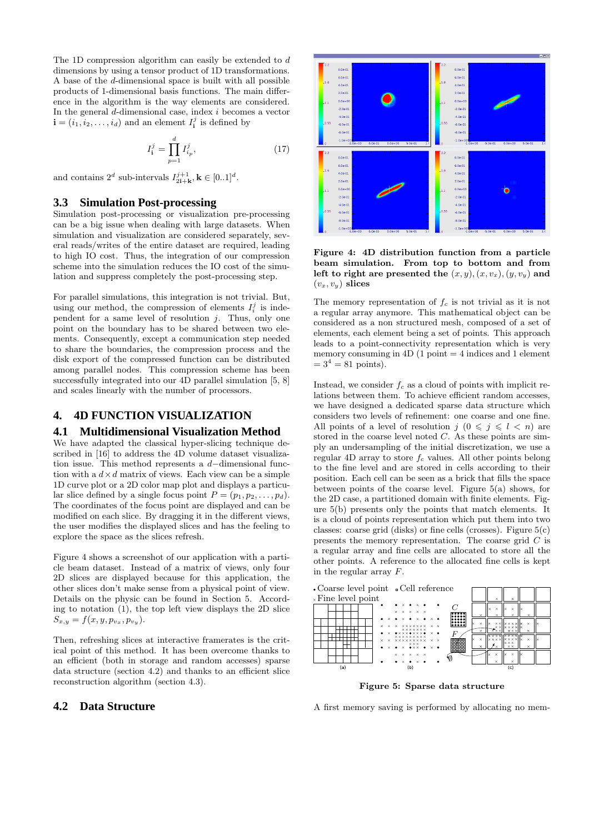The 1D compression algorithm can easily be extended to d dimensions by using a tensor product of 1D transformations. A base of the d-dimensional space is built with all possible products of 1-dimensional basis functions. The main difference in the algorithm is the way elements are considered. In the general  $d$ -dimensional case, index  $i$  becomes a vector  $\mathbf{i} = (i_1, i_2, \dots, i_d)$  and an element  $I_i^j$  is defined by

$$
I_1^j = \prod_{p=1}^d I_{i_p}^j,
$$
\n(17)

and contains  $2^d$  sub-intervals  $I_{2i+k}^{j+1}$ ,  $\mathbf{k} \in [0..1]^d$ .

### **3.3 Simulation Post-processing**

Simulation post-processing or visualization pre-processing can be a big issue when dealing with large datasets. When simulation and visualization are considered separately, several reads/writes of the entire dataset are required, leading to high IO cost. Thus, the integration of our compression scheme into the simulation reduces the IO cost of the simulation and suppress completely the post-processing step.

For parallel simulations, this integration is not trivial. But, using our method, the compression of elements  $I_i^j$  is independent for a same level of resolution  $j$ . Thus, only one point on the boundary has to be shared between two elements. Consequently, except a communication step needed to share the boundaries, the compression process and the disk export of the compressed function can be distributed among parallel nodes. This compression scheme has been successfully integrated into our 4D parallel simulation [5, 8] and scales linearly with the number of processors.

#### **4. 4D FUNCTION VISUALIZATION**

#### **4.1 Multidimensional Visualization Method**

We have adapted the classical hyper-slicing technique described in [16] to address the 4D volume dataset visualization issue. This method represents a d−dimensional function with a  $d \times d$  matrix of views. Each view can be a simple 1D curve plot or a 2D color map plot and displays a particular slice defined by a single focus point  $P = (p_1, p_2, \ldots, p_d)$ . The coordinates of the focus point are displayed and can be modified on each slice. By dragging it in the different views, the user modifies the displayed slices and has the feeling to explore the space as the slices refresh.

Figure 4 shows a screenshot of our application with a particle beam dataset. Instead of a matrix of views, only four 2D slices are displayed because for this application, the other slices don't make sense from a physical point of view. Details on the physic can be found in Section 5. According to notation  $(1)$ , the top left view displays the 2D slice  $S_{x,y} = f(x, y, p_{v_x}, p_{v_y}).$ 

Then, refreshing slices at interactive framerates is the critical point of this method. It has been overcome thanks to an efficient (both in storage and random accesses) sparse data structure (section 4.2) and thanks to an efficient slice reconstruction algorithm (section 4.3).

#### **4.2 Data Structure**



Figure 4: 4D distribution function from a particle beam simulation. From top to bottom and from left to right are presented the  $(x, y), (x, v_x), (y, v_y)$  and  $(v_x, v_y)$  slices

The memory representation of  $f_c$  is not trivial as it is not a regular array anymore. This mathematical object can be considered as a non structured mesh, composed of a set of elements, each element being a set of points. This approach leads to a point-connectivity representation which is very memory consuming in  $4D(1 \text{ point} = 4 \text{ indices and } 1 \text{ element})$  $= 3^4 = 81$  points).

Instead, we consider  $f_c$  as a cloud of points with implicit relations between them. To achieve efficient random accesses, we have designed a dedicated sparse data structure which considers two levels of refinement: one coarse and one fine. All points of a level of resolution  $j \ (0 \leq j \leq l \leq n)$  are stored in the coarse level noted C. As these points are simply an undersampling of the initial discretization, we use a regular 4D array to store  $f_c$  values. All other points belong to the fine level and are stored in cells according to their position. Each cell can be seen as a brick that fills the space between points of the coarse level. Figure 5(a) shows, for the 2D case, a partitioned domain with finite elements. Figure 5(b) presents only the points that match elements. It is a cloud of points representation which put them into two classes: coarse grid (disks) or fine cells (crosses). Figure  $5(c)$ presents the memory representation. The coarse grid  $C$  is a regular array and fine cells are allocated to store all the other points. A reference to the allocated fine cells is kept in the regular array F.



Figure 5: Sparse data structure

A first memory saving is performed by allocating no mem-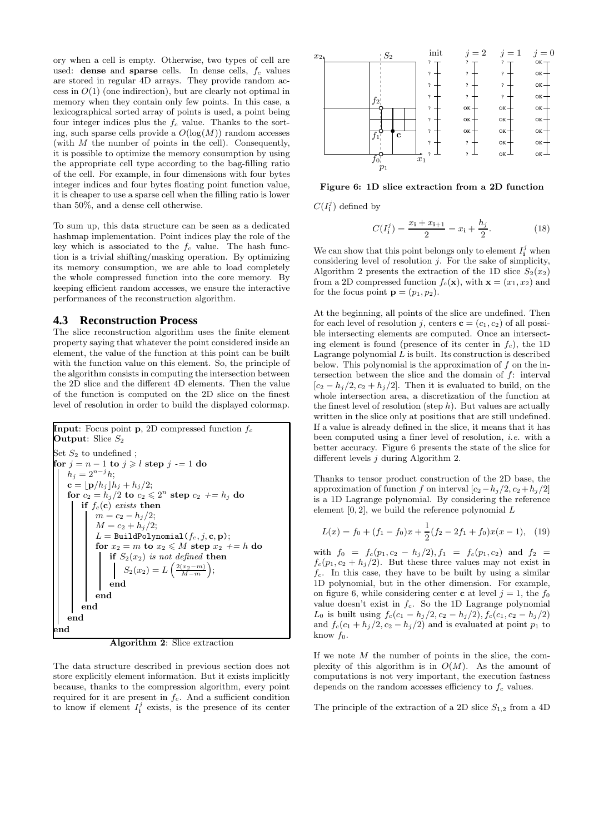ory when a cell is empty. Otherwise, two types of cell are used: dense and sparse cells. In dense cells,  $f_c$  values are stored in regular 4D arrays. They provide random access in  $O(1)$  (one indirection), but are clearly not optimal in memory when they contain only few points. In this case, a lexicographical sorted array of points is used, a point being four integer indices plus the  $f_c$  value. Thanks to the sorting, such sparse cells provide a  $O(log(M))$  random accesses (with  $M$  the number of points in the cell). Consequently, it is possible to optimize the memory consumption by using the appropriate cell type according to the bag-filling ratio of the cell. For example, in four dimensions with four bytes integer indices and four bytes floating point function value, it is cheaper to use a sparse cell when the filling ratio is lower than 50%, and a dense cell otherwise.

To sum up, this data structure can be seen as a dedicated hashmap implementation. Point indices play the role of the key which is associated to the  $f_c$  value. The hash function is a trivial shifting/masking operation. By optimizing its memory consumption, we are able to load completely the whole compressed function into the core memory. By keeping efficient random accesses, we ensure the interactive performances of the reconstruction algorithm.

#### **4.3 Reconstruction Process**

The slice reconstruction algorithm uses the finite element property saying that whatever the point considered inside an element, the value of the function at this point can be built with the function value on this element. So, the principle of the algorithm consists in computing the intersection between the 2D slice and the different 4D elements. Then the value of the function is computed on the 2D slice on the finest level of resolution in order to build the displayed colormap.



Algorithm 2: Slice extraction

The data structure described in previous section does not store explicitly element information. But it exists implicitly because, thanks to the compression algorithm, every point required for it are present in  $f_c$ . And a sufficient condition to know if element  $I_i^j$  exists, is the presence of its center



Figure 6: 1D slice extraction from a 2D function

 $C(I_{\mathbf{i}}^j)$  defined by

$$
C(I_1^j) = \frac{x_1 + x_{1+1}}{2} = x_1 + \frac{h_j}{2}.
$$
 (18)

We can show that this point belongs only to element  $I_i^j$  when considering level of resolution  $i$ . For the sake of simplicity, Algorithm 2 presents the extraction of the 1D slice  $S_2(x_2)$ from a 2D compressed function  $f_c(\mathbf{x})$ , with  $\mathbf{x} = (x_1, x_2)$  and for the focus point  $\mathbf{p} = (p_1, p_2)$ .

At the beginning, all points of the slice are undefined. Then for each level of resolution j, centers  $\mathbf{c} = (c_1, c_2)$  of all possible intersecting elements are computed. Once an intersecting element is found (presence of its center in  $f_c$ ), the 1D Lagrange polynomial  $L$  is built. Its construction is described below. This polynomial is the approximation of  $f$  on the intersection between the slice and the domain of f: interval  $[c_2 - h_i/2, c_2 + h_i/2]$ . Then it is evaluated to build, on the whole intersection area, a discretization of the function at the finest level of resolution (step  $h$ ). But values are actually written in the slice only at positions that are still undefined. If a value is already defined in the slice, it means that it has been computed using a finer level of resolution, i.e. with a better accuracy. Figure 6 presents the state of the slice for different levels j during Algorithm 2.

Thanks to tensor product construction of the 2D base, the approximation of function f on interval  $[c_2-h_j/2, c_2+h_j/2]$ is a 1D Lagrange polynomial. By considering the reference element  $[0, 2]$ , we build the reference polynomial  $L$ 

$$
L(x) = f_0 + (f_1 - f_0)x + \frac{1}{2}(f_2 - 2f_1 + f_0)x(x - 1), \quad (19)
$$

with  $f_0 = f_c(p_1, c_2 - h_j/2), f_1 = f_c(p_1, c_2)$  and  $f_2 =$  $f_c(p_1, c_2 + h_j/2)$ . But these three values may not exist in  $f_c$ . In this case, they have to be built by using a similar 1D polynomial, but in the other dimension. For example, on figure 6, while considering center **c** at level  $j = 1$ , the  $f_0$ value doesn't exist in  $f_c$ . So the 1D Lagrange polynomial  $L_0$  is built using  $f_c(c_1 - h_j/2, c_2 - h_j/2), f_c(c_1, c_2 - h_j/2)$ and  $f_c(c_1 + h_j/2, c_2 - h_j/2)$  and is evaluated at point  $p_1$  to know  $f_0$ .

If we note  $M$  the number of points in the slice, the complexity of this algorithm is in  $O(M)$ . As the amount of computations is not very important, the execution fastness depends on the random accesses efficiency to  $f_c$  values.

The principle of the extraction of a 2D slice  $S_{1,2}$  from a 4D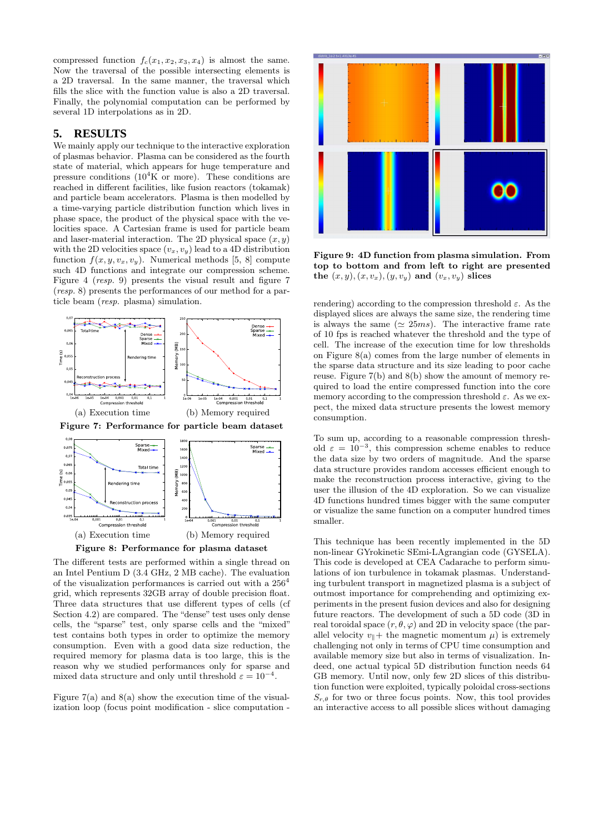compressed function  $f_c(x_1, x_2, x_3, x_4)$  is almost the same. Now the traversal of the possible intersecting elements is a 2D traversal. In the same manner, the traversal which fills the slice with the function value is also a 2D traversal. Finally, the polynomial computation can be performed by several 1D interpolations as in 2D.

#### **5. RESULTS**

We mainly apply our technique to the interactive exploration of plasmas behavior. Plasma can be considered as the fourth state of material, which appears for huge temperature and pressure conditions  $(10^4$ K or more). These conditions are reached in different facilities, like fusion reactors (tokamak) and particle beam accelerators. Plasma is then modelled by a time-varying particle distribution function which lives in phase space, the product of the physical space with the velocities space. A Cartesian frame is used for particle beam and laser-material interaction. The 2D physical space  $(x, y)$ with the 2D velocities space  $(v_x, v_y)$  lead to a 4D distribution function  $f(x, y, v_x, v_y)$ . Numerical methods [5, 8] compute such 4D functions and integrate our compression scheme. Figure 4 (resp. 9) presents the visual result and figure 7 (resp. 8) presents the performances of our method for a particle beam (resp. plasma) simulation.







The different tests are performed within a single thread on an Intel Pentium D (3.4 GHz, 2 MB cache). The evaluation of the visualization performances is carried out with a  $256<sup>4</sup>$ grid, which represents 32GB array of double precision float. Three data structures that use different types of cells (cf Section 4.2) are compared. The "dense" test uses only dense cells, the "sparse" test, only sparse cells and the "mixed" test contains both types in order to optimize the memory consumption. Even with a good data size reduction, the required memory for plasma data is too large, this is the reason why we studied performances only for sparse and mixed data structure and only until threshold  $\varepsilon = 10^{-4}$ .

Figure  $7(a)$  and  $8(a)$  show the execution time of the visualization loop (focus point modification - slice computation -



Figure 9: 4D function from plasma simulation. From top to bottom and from left to right are presented the  $(x, y), (x, v_x), (y, v_y)$  and  $(v_x, v_y)$  slices

rendering) according to the compression threshold  $\varepsilon$ . As the displayed slices are always the same size, the rendering time is always the same ( $\simeq 25ms$ ). The interactive frame rate of 10 fps is reached whatever the threshold and the type of cell. The increase of the execution time for low thresholds on Figure 8(a) comes from the large number of elements in the sparse data structure and its size leading to poor cache reuse. Figure 7(b) and 8(b) show the amount of memory required to load the entire compressed function into the core memory according to the compression threshold  $\varepsilon$ . As we expect, the mixed data structure presents the lowest memory consumption.

To sum up, according to a reasonable compression threshold  $\varepsilon = 10^{-3}$ , this compression scheme enables to reduce the data size by two orders of magnitude. And the sparse data structure provides random accesses efficient enough to make the reconstruction process interactive, giving to the user the illusion of the 4D exploration. So we can visualize 4D functions hundred times bigger with the same computer or visualize the same function on a computer hundred times smaller.

This technique has been recently implemented in the 5D non-linear GYrokinetic SEmi-LAgrangian code (GYSELA). This code is developed at CEA Cadarache to perform simulations of ion turbulence in tokamak plasmas. Understanding turbulent transport in magnetized plasma is a subject of outmost importance for comprehending and optimizing experiments in the present fusion devices and also for designing future reactors. The development of such a 5D code (3D in real toroidal space  $(r, \theta, \varphi)$  and 2D in velocity space (the parallel velocity  $v_{\parallel}$  + the magnetic momentum  $\mu$ ) is extremely challenging not only in terms of CPU time consumption and available memory size but also in terms of visualization. Indeed, one actual typical 5D distribution function needs 64 GB memory. Until now, only few 2D slices of this distribution function were exploited, typically poloidal cross-sections  $S_{r,\theta}$  for two or three focus points. Now, this tool provides an interactive access to all possible slices without damaging